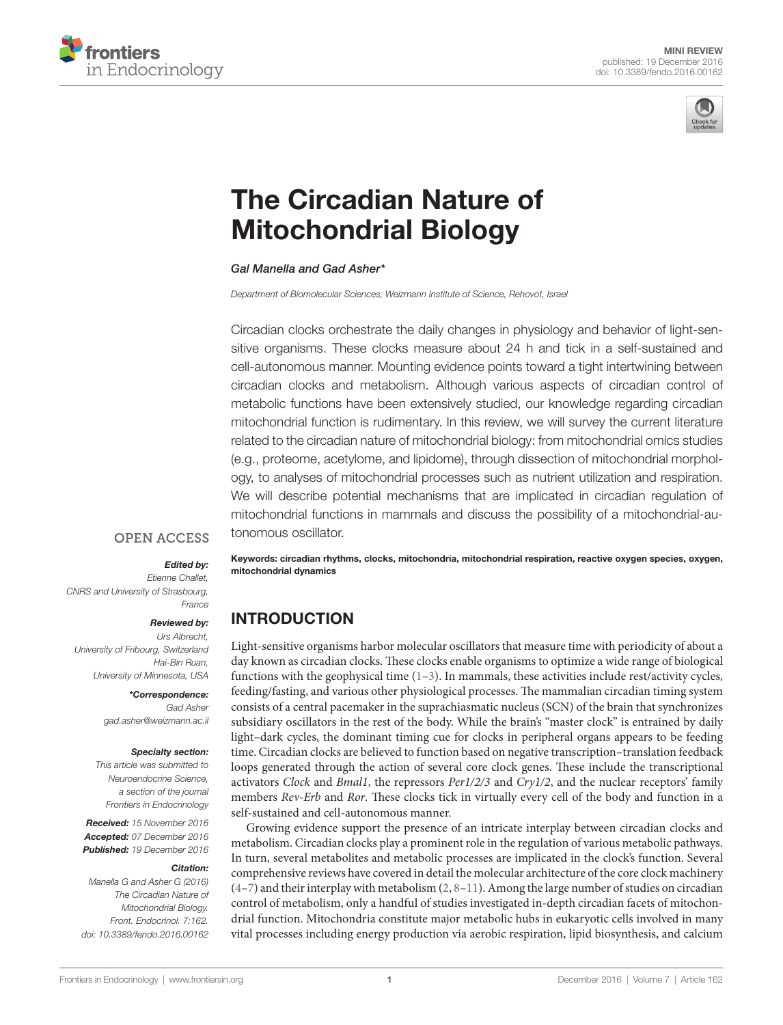



# The Circadian Nature of [Mitochondrial Biology](http://www.frontiersin.org/Journal/10.3389/fendo.2016.00162/abstract)

#### *Gal Manella and [Gad Asher](http://loop.frontiersin.org/people/360735)\**

*Department of Biomolecular Sciences, Weizmann Institute of Science, Rehovot, Israel*

Circadian clocks orchestrate the daily changes in physiology and behavior of light-sensitive organisms. These clocks measure about 24 h and tick in a self-sustained and cell-autonomous manner. Mounting evidence points toward a tight intertwining between circadian clocks and metabolism. Although various aspects of circadian control of metabolic functions have been extensively studied, our knowledge regarding circadian mitochondrial function is rudimentary. In this review, we will survey the current literature related to the circadian nature of mitochondrial biology: from mitochondrial omics studies (e.g., proteome, acetylome, and lipidome), through dissection of mitochondrial morphology, to analyses of mitochondrial processes such as nutrient utilization and respiration. We will describe potential mechanisms that are implicated in circadian regulation of mitochondrial functions in mammals and discuss the possibility of a mitochondrial-autonomous oscillator.

#### **OPEN ACCESS**

#### *Edited by:*

*Etienne Challet, CNRS and University of Strasbourg, France*

#### *Reviewed by:*

*Urs Albrecht, University of Fribourg, Switzerland Hai-Bin Ruan, University of Minnesota, USA*

#### *\*Correspondence:*

*Gad Asher [gad.asher@weizmann.ac.il](mailto:gad.asher@weizmann.ac.il)*

#### *Specialty section:*

*This article was submitted to Neuroendocrine Science, a section of the journal Frontiers in Endocrinology*

*Received: 15 November 2016 Accepted: 07 December 2016 Published: 19 December 2016*

#### *Citation:*

*Manella G and Asher G (2016) The Circadian Nature of Mitochondrial Biology. Front. Endocrinol. 7:162. doi: [10.3389/fendo.2016.00162](https://doi.org/10.3389/fendo.2016.00162)* Keywords: circadian rhythms, clocks, mitochondria, mitochondrial respiration, reactive oxygen species, oxygen, mitochondrial dynamics

# INTRODUCTION

Light-sensitive organisms harbor molecular oscillators that measure time with periodicity of about a day known as circadian clocks. These clocks enable organisms to optimize a wide range of biological functions with the geophysical time  $(1-3)$  $(1-3)$  $(1-3)$ . In mammals, these activities include rest/activity cycles, feeding/fasting, and various other physiological processes. The mammalian circadian timing system consists of a central pacemaker in the suprachiasmatic nucleus (SCN) of the brain that synchronizes subsidiary oscillators in the rest of the body. While the brain's "master clock" is entrained by daily light–dark cycles, the dominant timing cue for clocks in peripheral organs appears to be feeding time. Circadian clocks are believed to function based on negative transcription–translation feedback loops generated through the action of several core clock genes*.* These include the transcriptional activators *Clock* and *Bmal1*, the repressors *Per1/2/3* and *Cry1/2*, and the nuclear receptors' family members *Rev-Erb* and *Ror*. These clocks tick in virtually every cell of the body and function in a self-sustained and cell-autonomous manner.

Growing evidence support the presence of an intricate interplay between circadian clocks and metabolism. Circadian clocks play a prominent role in the regulation of various metabolic pathways. In turn, several metabolites and metabolic processes are implicated in the clock's function. Several comprehensive reviews have covered in detail the molecular architecture of the core clock machinery  $(4-7)$  $(4-7)$  $(4-7)$  and their interplay with metabolism  $(2, 8-11)$  $(2, 8-11)$  $(2, 8-11)$  $(2, 8-11)$ . Among the large number of studies on circadian control of metabolism, only a handful of studies investigated in-depth circadian facets of mitochondrial function. Mitochondria constitute major metabolic hubs in eukaryotic cells involved in many vital processes including energy production via aerobic respiration, lipid biosynthesis, and calcium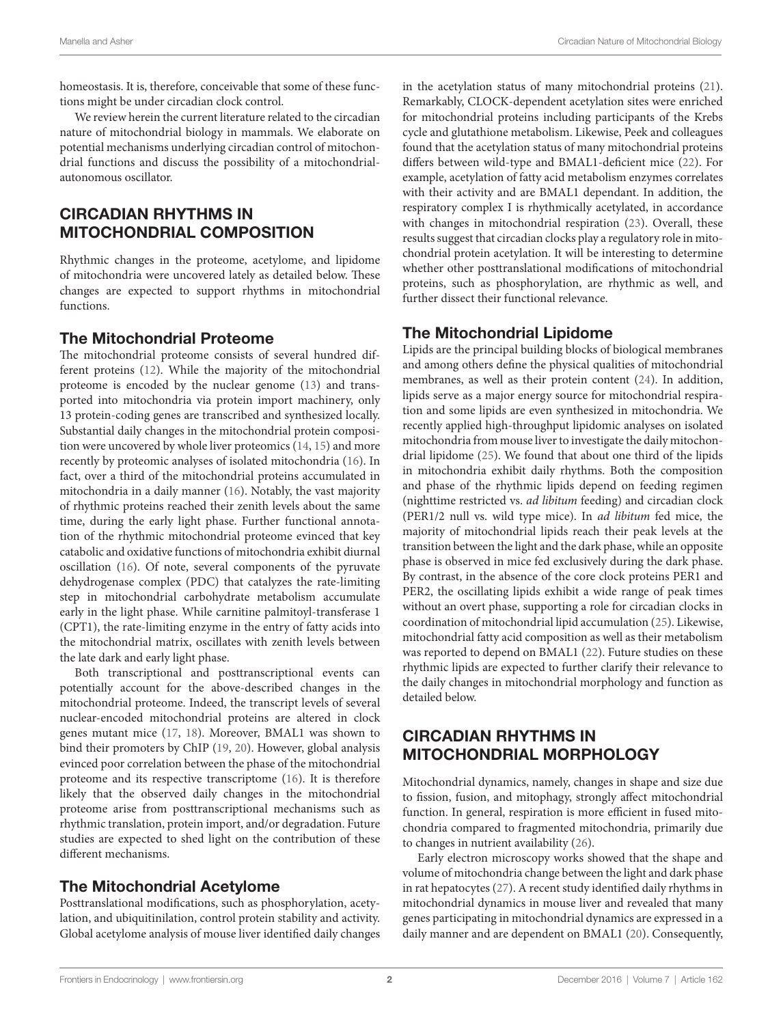homeostasis. It is, therefore, conceivable that some of these functions might be under circadian clock control.

We review herein the current literature related to the circadian nature of mitochondrial biology in mammals. We elaborate on potential mechanisms underlying circadian control of mitochondrial functions and discuss the possibility of a mitochondrialautonomous oscillator.

# CIRCADIAN RHYTHMS IN MITOCHONDRIAL COMPOSITION

Rhythmic changes in the proteome, acetylome, and lipidome of mitochondria were uncovered lately as detailed below. These changes are expected to support rhythms in mitochondrial functions.

#### The Mitochondrial Proteome

The mitochondrial proteome consists of several hundred different proteins ([12\)](#page-4-7). While the majority of the mitochondrial proteome is encoded by the nuclear genome ([13\)](#page-4-8) and transported into mitochondria via protein import machinery, only 13 protein-coding genes are transcribed and synthesized locally. Substantial daily changes in the mitochondrial protein composition were uncovered by whole liver proteomics ([14,](#page-4-9) [15\)](#page-4-10) and more recently by proteomic analyses of isolated mitochondria ([16\)](#page-4-11). In fact, over a third of the mitochondrial proteins accumulated in mitochondria in a daily manner ([16\)](#page-4-11). Notably, the vast majority of rhythmic proteins reached their zenith levels about the same time, during the early light phase. Further functional annotation of the rhythmic mitochondrial proteome evinced that key catabolic and oxidative functions of mitochondria exhibit diurnal oscillation ([16](#page-4-11)). Of note, several components of the pyruvate dehydrogenase complex (PDC) that catalyzes the rate-limiting step in mitochondrial carbohydrate metabolism accumulate early in the light phase. While carnitine palmitoyl-transferase 1 (CPT1), the rate-limiting enzyme in the entry of fatty acids into the mitochondrial matrix, oscillates with zenith levels between the late dark and early light phase.

Both transcriptional and posttranscriptional events can potentially account for the above-described changes in the mitochondrial proteome. Indeed, the transcript levels of several nuclear-encoded mitochondrial proteins are altered in clock genes mutant mice [\(17](#page-4-12), [18](#page-4-13)). Moreover, BMAL1 was shown to bind their promoters by ChIP ([19,](#page-4-14) [20\)](#page-4-15). However, global analysis evinced poor correlation between the phase of the mitochondrial proteome and its respective transcriptome ([16\)](#page-4-11). It is therefore likely that the observed daily changes in the mitochondrial proteome arise from posttranscriptional mechanisms such as rhythmic translation, protein import, and/or degradation. Future studies are expected to shed light on the contribution of these different mechanisms.

# The Mitochondrial Acetylome

Posttranslational modifications, such as phosphorylation, acetylation, and ubiquitinilation, control protein stability and activity. Global acetylome analysis of mouse liver identified daily changes in the acetylation status of many mitochondrial proteins [\(21](#page-4-16)). Remarkably, CLOCK-dependent acetylation sites were enriched for mitochondrial proteins including participants of the Krebs cycle and glutathione metabolism. Likewise, Peek and colleagues found that the acetylation status of many mitochondrial proteins differs between wild-type and BMAL1-deficient mice [\(22](#page-5-0)). For example, acetylation of fatty acid metabolism enzymes correlates with their activity and are BMAL1 dependant. In addition, the respiratory complex I is rhythmically acetylated, in accordance with changes in mitochondrial respiration [\(23](#page-5-1)). Overall, these results suggest that circadian clocks play a regulatory role in mitochondrial protein acetylation. It will be interesting to determine whether other posttranslational modifications of mitochondrial proteins, such as phosphorylation, are rhythmic as well, and further dissect their functional relevance.

### The Mitochondrial Lipidome

Lipids are the principal building blocks of biological membranes and among others define the physical qualities of mitochondrial membranes, as well as their protein content ([24\)](#page-5-2). In addition, lipids serve as a major energy source for mitochondrial respiration and some lipids are even synthesized in mitochondria. We recently applied high-throughput lipidomic analyses on isolated mitochondria from mouse liver to investigate the daily mitochondrial lipidome [\(25\)](#page-5-3). We found that about one third of the lipids in mitochondria exhibit daily rhythms. Both the composition and phase of the rhythmic lipids depend on feeding regimen (nighttime restricted vs. *ad libitum* feeding) and circadian clock (PER1/2 null vs. wild type mice). In *ad libitum* fed mice, the majority of mitochondrial lipids reach their peak levels at the transition between the light and the dark phase, while an opposite phase is observed in mice fed exclusively during the dark phase. By contrast, in the absence of the core clock proteins PER1 and PER2, the oscillating lipids exhibit a wide range of peak times without an overt phase, supporting a role for circadian clocks in coordination of mitochondrial lipid accumulation [\(25\)](#page-5-3). Likewise, mitochondrial fatty acid composition as well as their metabolism was reported to depend on BMAL1 ([22\)](#page-5-0). Future studies on these rhythmic lipids are expected to further clarify their relevance to the daily changes in mitochondrial morphology and function as detailed below.

# CIRCADIAN RHYTHMS IN MITOCHONDRIAL MORPHOLOGY

Mitochondrial dynamics, namely, changes in shape and size due to fission, fusion, and mitophagy, strongly affect mitochondrial function. In general, respiration is more efficient in fused mitochondria compared to fragmented mitochondria, primarily due to changes in nutrient availability ([26\)](#page-5-4).

Early electron microscopy works showed that the shape and volume of mitochondria change between the light and dark phase in rat hepatocytes ([27\)](#page-5-5). A recent study identified daily rhythms in mitochondrial dynamics in mouse liver and revealed that many genes participating in mitochondrial dynamics are expressed in a daily manner and are dependent on BMAL1 [\(20](#page-4-15)). Consequently,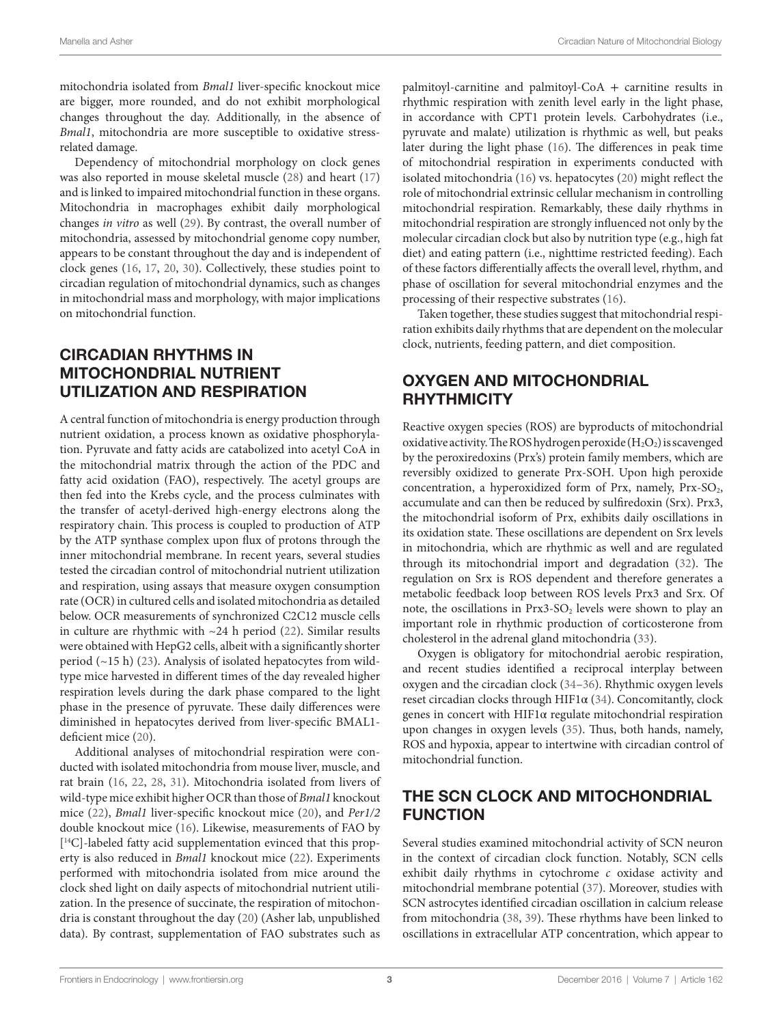mitochondria isolated from *Bmal1* liver-specific knockout mice are bigger, more rounded, and do not exhibit morphological changes throughout the day. Additionally, in the absence of *Bmal1*, mitochondria are more susceptible to oxidative stressrelated damage.

Dependency of mitochondrial morphology on clock genes was also reported in mouse skeletal muscle [\(28](#page-5-6)) and heart ([17\)](#page-4-12) and is linked to impaired mitochondrial function in these organs. Mitochondria in macrophages exhibit daily morphological changes *in vitro* as well [\(29](#page-5-7)). By contrast, the overall number of mitochondria, assessed by mitochondrial genome copy number, appears to be constant throughout the day and is independent of clock genes ([16,](#page-4-11) [17](#page-4-12), [20,](#page-4-15) [30](#page-5-8)). Collectively, these studies point to circadian regulation of mitochondrial dynamics, such as changes in mitochondrial mass and morphology, with major implications on mitochondrial function.

# CIRCADIAN RHYTHMS IN MITOCHONDRIAL NUTRIENT UTILIZATION AND RESPIRATION

A central function of mitochondria is energy production through nutrient oxidation, a process known as oxidative phosphorylation. Pyruvate and fatty acids are catabolized into acetyl CoA in the mitochondrial matrix through the action of the PDC and fatty acid oxidation (FAO), respectively. The acetyl groups are then fed into the Krebs cycle, and the process culminates with the transfer of acetyl-derived high-energy electrons along the respiratory chain. This process is coupled to production of ATP by the ATP synthase complex upon flux of protons through the inner mitochondrial membrane. In recent years, several studies tested the circadian control of mitochondrial nutrient utilization and respiration, using assays that measure oxygen consumption rate (OCR) in cultured cells and isolated mitochondria as detailed below. OCR measurements of synchronized C2C12 muscle cells in culture are rhythmic with  $~24$  h period [\(22](#page-5-0)). Similar results were obtained with HepG2 cells, albeit with a significantly shorter period (~15 h) [\(23\)](#page-5-1). Analysis of isolated hepatocytes from wildtype mice harvested in different times of the day revealed higher respiration levels during the dark phase compared to the light phase in the presence of pyruvate. These daily differences were diminished in hepatocytes derived from liver-specific BMAL1 deficient mice ([20](#page-4-15)).

Additional analyses of mitochondrial respiration were conducted with isolated mitochondria from mouse liver, muscle, and rat brain ([16,](#page-4-11) [22](#page-5-0), [28,](#page-5-6) [31\)](#page-5-9). Mitochondria isolated from livers of wild-type mice exhibit higher OCR than those of *Bmal1* knockout mice [\(22](#page-5-0)), *Bmal1* liver-specific knockout mice ([20\)](#page-4-15), and *Per1/2* double knockout mice ([16\)](#page-4-11). Likewise, measurements of FAO by [ 14C]-labeled fatty acid supplementation evinced that this property is also reduced in *Bmal1* knockout mice [\(22\)](#page-5-0). Experiments performed with mitochondria isolated from mice around the clock shed light on daily aspects of mitochondrial nutrient utilization. In the presence of succinate, the respiration of mitochondria is constant throughout the day [\(20](#page-4-15)) (Asher lab, unpublished data). By contrast, supplementation of FAO substrates such as palmitoyl-carnitine and palmitoyl-CoA + carnitine results in rhythmic respiration with zenith level early in the light phase, in accordance with CPT1 protein levels. Carbohydrates (i.e., pyruvate and malate) utilization is rhythmic as well, but peaks later during the light phase ([16](#page-4-11)). The differences in peak time of mitochondrial respiration in experiments conducted with isolated mitochondria [\(16](#page-4-11)) vs. hepatocytes ([20\)](#page-4-15) might reflect the role of mitochondrial extrinsic cellular mechanism in controlling mitochondrial respiration. Remarkably, these daily rhythms in mitochondrial respiration are strongly influenced not only by the molecular circadian clock but also by nutrition type (e.g., high fat diet) and eating pattern (i.e., nighttime restricted feeding). Each of these factors differentially affects the overall level, rhythm, and phase of oscillation for several mitochondrial enzymes and the processing of their respective substrates ([16\)](#page-4-11).

Taken together, these studies suggest that mitochondrial respiration exhibits daily rhythms that are dependent on the molecular clock, nutrients, feeding pattern, and diet composition.

# OXYGEN AND MITOCHONDRIAL RHYTHMICITY

Reactive oxygen species (ROS) are byproducts of mitochondrial oxidative activity. The ROS hydrogen peroxide  $(H_2O_2)$  is scavenged by the peroxiredoxins (Prx's) protein family members, which are reversibly oxidized to generate Prx-SOH. Upon high peroxide concentration, a hyperoxidized form of Prx, namely,  $Prx-SO<sub>2</sub>$ , accumulate and can then be reduced by sulfiredoxin (Srx). Prx3, the mitochondrial isoform of Prx, exhibits daily oscillations in its oxidation state. These oscillations are dependent on Srx levels in mitochondria, which are rhythmic as well and are regulated through its mitochondrial import and degradation ([32\)](#page-5-10). The regulation on Srx is ROS dependent and therefore generates a metabolic feedback loop between ROS levels Prx3 and Srx. Of note, the oscillations in Prx3-SO<sub>2</sub> levels were shown to play an important role in rhythmic production of corticosterone from cholesterol in the adrenal gland mitochondria [\(33](#page-5-11)).

Oxygen is obligatory for mitochondrial aerobic respiration, and recent studies identified a reciprocal interplay between oxygen and the circadian clock [\(34](#page-5-12)[–36](#page-5-13)). Rhythmic oxygen levels reset circadian clocks through HIF1α ([34\)](#page-5-12). Concomitantly, clock genes in concert with HIF1α regulate mitochondrial respiration upon changes in oxygen levels ([35\)](#page-5-14). Thus, both hands, namely, ROS and hypoxia, appear to intertwine with circadian control of mitochondrial function.

# THE SCN CLOCK AND MITOCHONDRIAL FUNCTION

Several studies examined mitochondrial activity of SCN neuron in the context of circadian clock function. Notably, SCN cells exhibit daily rhythms in cytochrome *c* oxidase activity and mitochondrial membrane potential [\(37](#page-5-15)). Moreover, studies with SCN astrocytes identified circadian oscillation in calcium release from mitochondria [\(38,](#page-5-16) [39](#page-5-17)). These rhythms have been linked to oscillations in extracellular ATP concentration, which appear to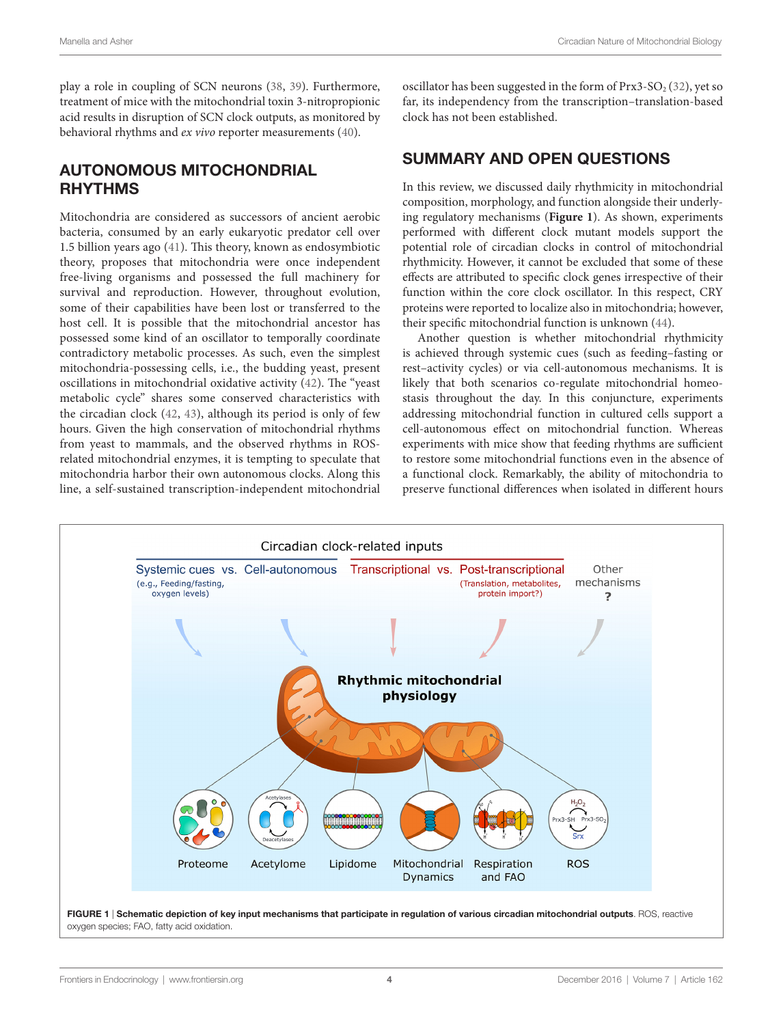play a role in coupling of SCN neurons ([38,](#page-5-16) [39](#page-5-17)). Furthermore, treatment of mice with the mitochondrial toxin 3-nitropropionic acid results in disruption of SCN clock outputs, as monitored by behavioral rhythms and *ex vivo* reporter measurements ([40\)](#page-5-18).

# AUTONOMOUS MITOCHONDRIAL **RHYTHMS**

Mitochondria are considered as successors of ancient aerobic bacteria, consumed by an early eukaryotic predator cell over 1.5 billion years ago ([41](#page-5-19)). This theory, known as endosymbiotic theory, proposes that mitochondria were once independent free-living organisms and possessed the full machinery for survival and reproduction. However, throughout evolution, some of their capabilities have been lost or transferred to the host cell. It is possible that the mitochondrial ancestor has possessed some kind of an oscillator to temporally coordinate contradictory metabolic processes. As such, even the simplest mitochondria-possessing cells, i.e., the budding yeast, present oscillations in mitochondrial oxidative activity ([42](#page-5-20)). The "yeast metabolic cycle" shares some conserved characteristics with the circadian clock ([42](#page-5-20), [43](#page-5-21)), although its period is only of few hours. Given the high conservation of mitochondrial rhythms from yeast to mammals, and the observed rhythms in ROSrelated mitochondrial enzymes, it is tempting to speculate that mitochondria harbor their own autonomous clocks. Along this line, a self-sustained transcription-independent mitochondrial

oscillator has been suggested in the form of  $Prx3-SO<sub>2</sub>(32)$  $Prx3-SO<sub>2</sub>(32)$  $Prx3-SO<sub>2</sub>(32)$ , yet so far, its independency from the transcription–translation-based clock has not been established.

# SUMMARY AND OPEN QUESTIONS

In this review, we discussed daily rhythmicity in mitochondrial composition, morphology, and function alongside their underlying regulatory mechanisms (**[Figure 1](#page-3-0)**). As shown, experiments performed with different clock mutant models support the potential role of circadian clocks in control of mitochondrial rhythmicity. However, it cannot be excluded that some of these effects are attributed to specific clock genes irrespective of their function within the core clock oscillator. In this respect, CRY proteins were reported to localize also in mitochondria; however, their specific mitochondrial function is unknown ([44\)](#page-5-22).

Another question is whether mitochondrial rhythmicity is achieved through systemic cues (such as feeding–fasting or rest–activity cycles) or via cell-autonomous mechanisms. It is likely that both scenarios co-regulate mitochondrial homeostasis throughout the day. In this conjuncture, experiments addressing mitochondrial function in cultured cells support a cell-autonomous effect on mitochondrial function. Whereas experiments with mice show that feeding rhythms are sufficient to restore some mitochondrial functions even in the absence of a functional clock. Remarkably, the ability of mitochondria to preserve functional differences when isolated in different hours



<span id="page-3-0"></span>FIGURE 1 | Schematic depiction of key input mechanisms that participate in regulation of various circadian mitochondrial outputs. ROS, reactive oxygen species; FAO, fatty acid oxidation.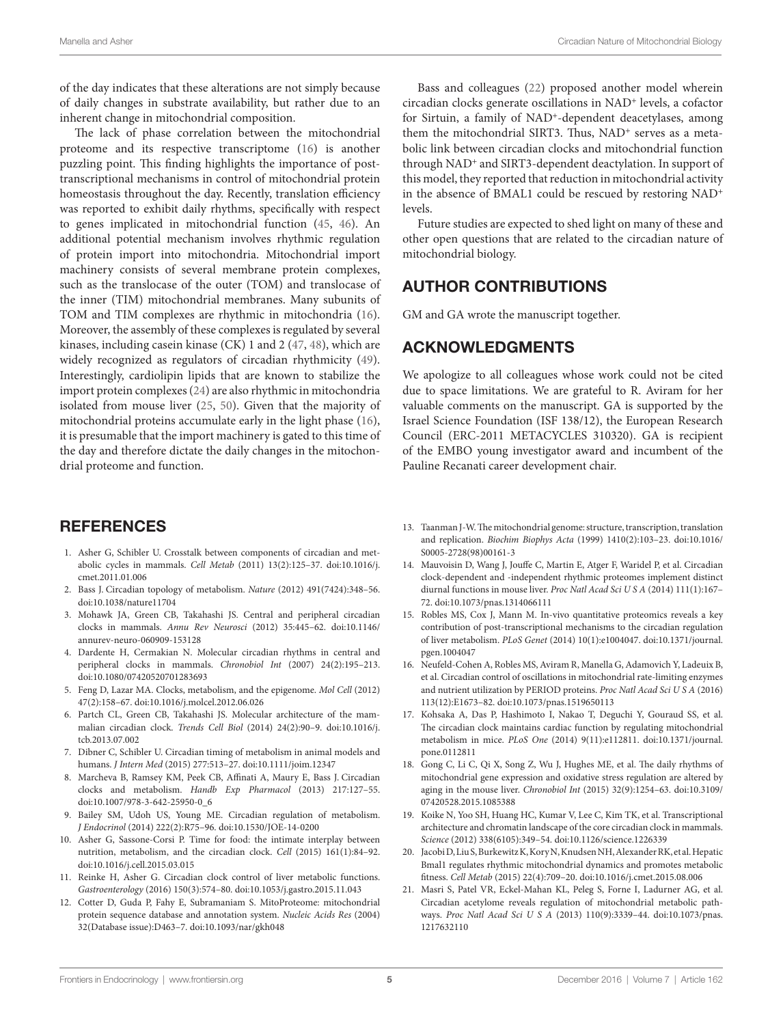of the day indicates that these alterations are not simply because of daily changes in substrate availability, but rather due to an inherent change in mitochondrial composition.

The lack of phase correlation between the mitochondrial proteome and its respective transcriptome [\(16](#page-4-11)) is another puzzling point. This finding highlights the importance of posttranscriptional mechanisms in control of mitochondrial protein homeostasis throughout the day. Recently, translation efficiency was reported to exhibit daily rhythms, specifically with respect to genes implicated in mitochondrial function ([45,](#page-5-23) [46](#page-5-24)). An additional potential mechanism involves rhythmic regulation of protein import into mitochondria. Mitochondrial import machinery consists of several membrane protein complexes, such as the translocase of the outer (TOM) and translocase of the inner (TIM) mitochondrial membranes. Many subunits of TOM and TIM complexes are rhythmic in mitochondria ([16\)](#page-4-11). Moreover, the assembly of these complexes is regulated by several kinases, including casein kinase (CK) 1 and 2 [\(47](#page-5-25), [48\)](#page-5-26), which are widely recognized as regulators of circadian rhythmicity ([49\)](#page-5-27). Interestingly, cardiolipin lipids that are known to stabilize the import protein complexes [\(24](#page-5-2)) are also rhythmic in mitochondria isolated from mouse liver ([25,](#page-5-3) [50\)](#page-5-28). Given that the majority of mitochondrial proteins accumulate early in the light phase ([16\)](#page-4-11), it is presumable that the import machinery is gated to this time of the day and therefore dictate the daily changes in the mitochondrial proteome and function.

# **REFERENCES**

- <span id="page-4-0"></span>1. Asher G, Schibler U. Crosstalk between components of circadian and metabolic cycles in mammals. *Cell Metab* (2011) 13(2):125–37. doi:[10.1016/j.](https://doi.org/10.1016/j.cmet.2011.01.006) [cmet.2011.01.006](https://doi.org/10.1016/j.cmet.2011.01.006)
- <span id="page-4-4"></span>2. Bass J. Circadian topology of metabolism. *Nature* (2012) 491(7424):348–56. doi:[10.1038/nature11704](https://doi.org/10.1038/nature11704)
- <span id="page-4-1"></span>3. Mohawk JA, Green CB, Takahashi JS. Central and peripheral circadian clocks in mammals. *Annu Rev Neurosci* (2012) 35:445–62. doi[:10.1146/](https://doi.org/10.1146/annurev-neuro-060909-153128) [annurev-neuro-060909-153128](https://doi.org/10.1146/annurev-neuro-060909-153128)
- <span id="page-4-2"></span>4. Dardente H, Cermakian N. Molecular circadian rhythms in central and peripheral clocks in mammals. *Chronobiol Int* (2007) 24(2):195–213. doi:[10.1080/07420520701283693](https://doi.org/10.1080/07420520701283693)
- 5. Feng D, Lazar MA. Clocks, metabolism, and the epigenome. *Mol Cell* (2012) 47(2):158–67. doi:[10.1016/j.molcel.2012.06.026](https://doi.org/10.1016/j.molcel.2012.06.026)
- 6. Partch CL, Green CB, Takahashi JS. Molecular architecture of the mammalian circadian clock. *Trends Cell Biol* (2014) 24(2):90–9. doi:[10.1016/j.](https://doi.org/10.1016/j.tcb.2013.07.002) [tcb.2013.07.002](https://doi.org/10.1016/j.tcb.2013.07.002)
- <span id="page-4-3"></span>7. Dibner C, Schibler U. Circadian timing of metabolism in animal models and humans. *J Intern Med* (2015) 277:513–27. doi[:10.1111/joim.12347](https://doi.org/10.1111/joim.12347)
- <span id="page-4-5"></span>8. Marcheva B, Ramsey KM, Peek CB, Affinati A, Maury E, Bass J. Circadian clocks and metabolism. *Handb Exp Pharmacol* (2013) 217:127–55. doi:[10.1007/978-3-642-25950-0\\_6](https://doi.org/10.1007/978-3-642-25950-0_6)
- 9. Bailey SM, Udoh US, Young ME. Circadian regulation of metabolism. *J Endocrinol* (2014) 222(2):R75–96. doi:[10.1530/JOE-14-0200](https://doi.org/10.1530/JOE-14-0200)
- 10. Asher G, Sassone-Corsi P. Time for food: the intimate interplay between nutrition, metabolism, and the circadian clock. *Cell* (2015) 161(1):84–92. doi:[10.1016/j.cell.2015.03.015](https://doi.org/10.1016/j.cell.2015.03.015)
- <span id="page-4-6"></span>11. Reinke H, Asher G. Circadian clock control of liver metabolic functions. *Gastroenterology* (2016) 150(3):574–80. doi[:10.1053/j.gastro.2015.11.043](https://doi.org/10.1053/j.gastro.2015.11.043)
- <span id="page-4-7"></span>12. Cotter D, Guda P, Fahy E, Subramaniam S. MitoProteome: mitochondrial protein sequence database and annotation system. *Nucleic Acids Res* (2004) 32(Database issue):D463–7. doi:[10.1093/nar/gkh048](https://doi.org/10.1093/nar/gkh048)

Bass and colleagues [\(22](#page-5-0)) proposed another model wherein circadian clocks generate oscillations in NAD<sup>+</sup> levels, a cofactor for Sirtuin, a family of NAD<sup>+</sup>-dependent deacetylases, among them the mitochondrial SIRT3. Thus, NAD<sup>+</sup> serves as a metabolic link between circadian clocks and mitochondrial function through NAD<sup>+</sup> and SIRT3-dependent deactylation. In support of this model, they reported that reduction in mitochondrial activity in the absence of BMAL1 could be rescued by restoring NAD<sup>+</sup> levels.

Future studies are expected to shed light on many of these and other open questions that are related to the circadian nature of mitochondrial biology.

### AUTHOR CONTRIBUTIONS

GM and GA wrote the manuscript together.

### ACKNOWLEDGMENTS

We apologize to all colleagues whose work could not be cited due to space limitations. We are grateful to R. Aviram for her valuable comments on the manuscript. GA is supported by the Israel Science Foundation (ISF 138/12), the European Research Council (ERC-2011 METACYCLES 310320). GA is recipient of the EMBO young investigator award and incumbent of the Pauline Recanati career development chair.

- <span id="page-4-8"></span>13. Taanman J-W. The mitochondrial genome: structure, transcription, translation and replication. *Biochim Biophys Acta* (1999) 1410(2):103–23. doi[:10.1016/](https://doi.org/10.1016/S0005-2728(98)00161-3) [S0005-2728\(98\)00161-3](https://doi.org/10.1016/S0005-2728(98)00161-3)
- <span id="page-4-9"></span>14. Mauvoisin D, Wang J, Jouffe C, Martin E, Atger F, Waridel P, et al. Circadian clock-dependent and -independent rhythmic proteomes implement distinct diurnal functions in mouse liver. *Proc Natl Acad Sci U S A* (2014) 111(1):167– 72. doi[:10.1073/pnas.1314066111](https://doi.org/10.1073/pnas.1314066111)
- <span id="page-4-10"></span>15. Robles MS, Cox J, Mann M. In-vivo quantitative proteomics reveals a key contribution of post-transcriptional mechanisms to the circadian regulation of liver metabolism. *PLoS Genet* (2014) 10(1):e1004047. doi:[10.1371/journal.](https://doi.org/10.1371/journal.pgen.1004047) [pgen.1004047](https://doi.org/10.1371/journal.pgen.1004047)
- <span id="page-4-11"></span>16. Neufeld-Cohen A, Robles MS, Aviram R, Manella G, Adamovich Y, Ladeuix B, et al. Circadian control of oscillations in mitochondrial rate-limiting enzymes and nutrient utilization by PERIOD proteins. *Proc Natl Acad Sci U S A* (2016) 113(12):E1673–82. doi:[10.1073/pnas.1519650113](https://doi.org/10.1073/pnas.1519650113)
- <span id="page-4-12"></span>17. Kohsaka A, Das P, Hashimoto I, Nakao T, Deguchi Y, Gouraud SS, et al. The circadian clock maintains cardiac function by regulating mitochondrial metabolism in mice. *PLoS One* (2014) 9(11):e112811. doi:[10.1371/journal.](https://doi.org/10.1371/journal.pone.0112811) [pone.0112811](https://doi.org/10.1371/journal.pone.0112811)
- <span id="page-4-13"></span>18. Gong C, Li C, Qi X, Song Z, Wu J, Hughes ME, et al. The daily rhythms of mitochondrial gene expression and oxidative stress regulation are altered by aging in the mouse liver. *Chronobiol Int* (2015) 32(9):1254–63. doi[:10.3109/](https://doi.org/10.3109/07420528.2015.1085388) [07420528.2015.1085388](https://doi.org/10.3109/07420528.2015.1085388)
- <span id="page-4-14"></span>19. Koike N, Yoo SH, Huang HC, Kumar V, Lee C, Kim TK, et al. Transcriptional architecture and chromatin landscape of the core circadian clock in mammals. *Science* (2012) 338(6105):349–54. doi[:10.1126/science.1226339](https://doi.org/10.1126/science.1226339)
- <span id="page-4-15"></span>20. Jacobi D, Liu S, Burkewitz K, Kory N, Knudsen NH, Alexander RK, et al. Hepatic Bmal1 regulates rhythmic mitochondrial dynamics and promotes metabolic fitness. *Cell Metab* (2015) 22(4):709–20. doi[:10.1016/j.cmet.2015.08.006](https://doi.org/10.1016/j.cmet.2015.08.006)
- <span id="page-4-16"></span>21. Masri S, Patel VR, Eckel-Mahan KL, Peleg S, Forne I, Ladurner AG, et al. Circadian acetylome reveals regulation of mitochondrial metabolic pathways. *Proc Natl Acad Sci U S A* (2013) 110(9):3339–44. doi[:10.1073/pnas.](https://doi.org/10.1073/pnas.1217632110) [1217632110](https://doi.org/10.1073/pnas.1217632110)